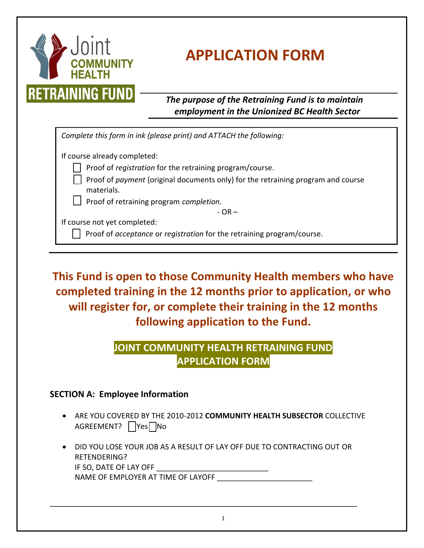

# **APPLICATION FORM**

*The purpose of the Retraining Fund is to maintain employment in the Unionized BC Health Sector*

| Complete this form in ink (please print) and ATTACH the following:                             |  |  |  |  |
|------------------------------------------------------------------------------------------------|--|--|--|--|
| If course already completed:                                                                   |  |  |  |  |
| Proof of registration for the retraining program/course.                                       |  |  |  |  |
| Proof of payment (original documents only) for the retraining program and course<br>materials. |  |  |  |  |
| $\Box$ Proof of retraining program completion.                                                 |  |  |  |  |
| $-OR -$                                                                                        |  |  |  |  |
| If course not yet completed:                                                                   |  |  |  |  |
| Proof of acceptance or registration for the retraining program/course.                         |  |  |  |  |
|                                                                                                |  |  |  |  |

**This Fund is open to those Community Health members who have completed training in the 12 months prior to application, or who will register for, or complete their training in the 12 months following application to the Fund.**

## **JOINT COMMUNITY HEALTH RETRAINING FUND APPLICATION FORM**

### **SECTION A: Employee Information**

- ARE YOU COVERED BY THE 2010-2012 **COMMUNITY HEALTH SUBSECTOR** COLLECTIVE AGREEMENT? Yes
- DID YOU LOSE YOUR JOB AS A RESULT OF LAY OFF DUE TO CONTRACTING OUT OR RETENDERING? IF SO, DATE OF LAY OFF NAME OF EMPLOYER AT TIME OF LAYOFF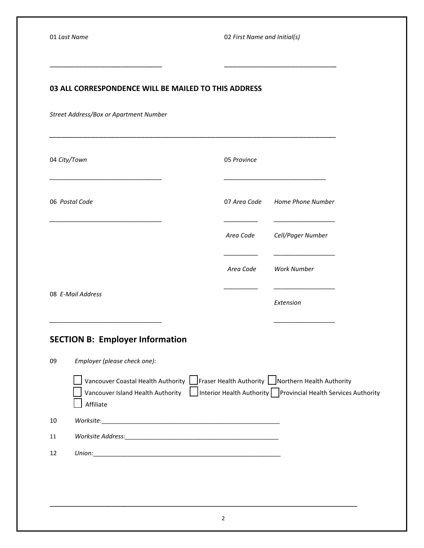#### **03 ALL CORRESPONDENCE WILL BE MAILED TO THIS ADDRESS**

\_\_\_\_\_\_\_\_\_\_\_\_\_\_\_\_\_\_\_\_\_\_\_\_\_\_\_ \_\_\_\_\_\_\_\_\_\_\_\_\_\_\_\_\_\_\_\_\_\_\_\_\_\_\_

*\_\_\_\_\_\_\_\_\_\_\_\_\_\_\_\_\_\_\_\_\_\_\_\_\_\_\_\_\_\_\_\_\_\_\_\_\_\_\_\_\_\_\_\_\_\_\_\_\_\_\_\_\_\_\_\_\_\_\_\_\_\_\_\_\_\_\_\_\_*

*Street Address/Box or Apartment Number*

|                   | 04 City/Town                                                                                                                                                                                                                                  | 05 Province  |                          |
|-------------------|-----------------------------------------------------------------------------------------------------------------------------------------------------------------------------------------------------------------------------------------------|--------------|--------------------------|
| 06 Postal Code    |                                                                                                                                                                                                                                               | 07 Area Code | <b>Home Phone Number</b> |
|                   |                                                                                                                                                                                                                                               | Area Code    | Cell/Pager Number        |
|                   |                                                                                                                                                                                                                                               | Area Code    | <b>Work Number</b>       |
| 08 E-Mail Address |                                                                                                                                                                                                                                               |              | Extension                |
|                   | <b>SECTION B: Employer Information</b>                                                                                                                                                                                                        |              |                          |
| 09                | Employer (please check one):<br>Vancouver Coastal Health Authority   Fraser Health Authority   Northern Health Authority<br>Vancouver Island Health Authority   Interior Health Authority   Provincial Health Services Authority<br>Affiliate |              |                          |
| 10                |                                                                                                                                                                                                                                               |              |                          |
| 11                | Worksite Address: Maria Communication and Maria Communication and Maria Communication and Maria Communication                                                                                                                                 |              |                          |
| 12                |                                                                                                                                                                                                                                               |              |                          |
|                   |                                                                                                                                                                                                                                               |              |                          |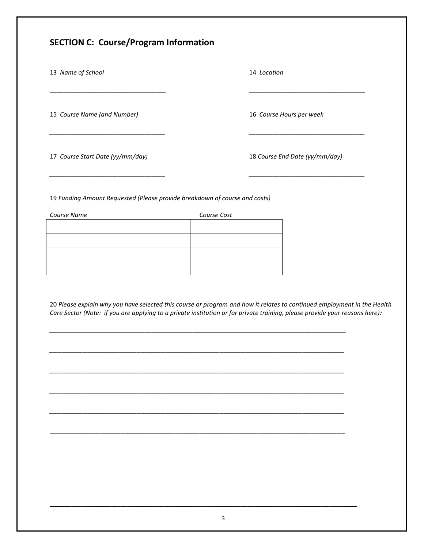#### **SECTION C: Course/Program Information**

13 *Name of School* 14 *Location*

15 *Course Name (and Number)* 16 *Course Hours per week*

17 *Course Start Date (yy/mm/day)* 18 *Course End Date (yy/mm/day)*

19 *Funding Amount Requested (Please provide breakdown of course and costs)*

| Course Name | Course Cost |  |
|-------------|-------------|--|
|             |             |  |
|             |             |  |
|             |             |  |
|             |             |  |

20 *Please explain why you have selected this course or program and how it relates to continued employment in the Health Care Sector (Note: if you are applying to a private institution or for private training, please provide your reasons here):*

*\_\_\_\_\_\_\_\_\_\_\_\_\_\_\_\_\_\_\_\_\_\_\_\_\_\_\_\_\_\_\_\_\_\_\_\_\_\_\_\_\_\_\_\_\_\_\_\_\_\_\_\_\_\_\_\_\_\_\_\_\_\_\_\_\_\_\_\_\_\_\_\_\_\_\_\_\_\_\_\_\_\_\_\_\_\_\_*

*\_\_\_\_\_\_\_\_\_\_\_\_\_\_\_\_\_\_\_\_\_\_\_\_\_\_\_\_\_\_\_\_\_\_\_\_\_\_\_\_\_\_\_\_\_\_\_\_\_\_\_\_\_\_\_\_\_\_\_\_\_\_\_\_\_\_\_\_\_\_\_*

*\_\_\_\_\_\_\_\_\_\_\_\_\_\_\_\_\_\_\_\_\_\_\_\_\_\_\_\_\_\_\_\_\_\_\_\_\_\_\_\_\_\_\_\_\_\_\_\_\_\_\_\_\_\_\_\_\_\_\_\_\_\_\_\_\_\_\_\_\_\_\_*

*\_\_\_\_\_\_\_\_\_\_\_\_\_\_\_\_\_\_\_\_\_\_\_\_\_\_\_\_\_\_\_\_\_\_\_\_\_\_\_\_\_\_\_\_\_\_\_\_\_\_\_\_\_\_\_\_\_\_\_\_\_\_\_\_\_\_\_\_\_\_\_*

*\_\_\_\_\_\_\_\_\_\_\_\_\_\_\_\_\_\_\_\_\_\_\_\_\_\_\_\_\_\_\_\_\_\_\_\_\_\_\_\_\_\_\_\_\_\_\_\_\_\_\_\_\_\_\_\_\_\_\_\_\_\_\_\_\_\_\_\_\_\_\_*

\_\_\_\_\_\_\_\_\_\_\_\_\_\_\_\_\_\_\_\_\_\_\_\_\_\_\_\_\_\_\_\_\_\_\_\_\_\_\_\_\_\_\_\_\_\_\_\_\_\_\_\_\_\_\_\_\_\_\_\_\_\_\_\_\_\_\_\_\_\_\_

 $\overline{\phantom{a}}$  , and the contribution of the contribution of the contribution of the contribution of the contribution of the contribution of the contribution of the contribution of the contribution of the contribution of the

*\_\_\_\_\_\_\_\_\_\_\_\_\_\_\_\_\_\_\_\_\_\_\_\_\_\_\_\_\_\_\_\_\_\_ \_\_\_\_\_\_\_\_\_\_\_\_\_\_\_\_\_\_\_\_\_\_\_\_\_\_\_\_\_\_\_\_\_\_*

*\_\_\_\_\_\_\_\_\_\_\_\_\_\_\_\_\_\_\_\_\_\_\_\_\_\_\_\_\_\_\_\_\_\_ \_\_\_\_\_\_\_\_\_\_\_\_\_\_\_\_\_\_\_\_\_\_\_\_\_\_\_\_\_\_\_\_\_\_*